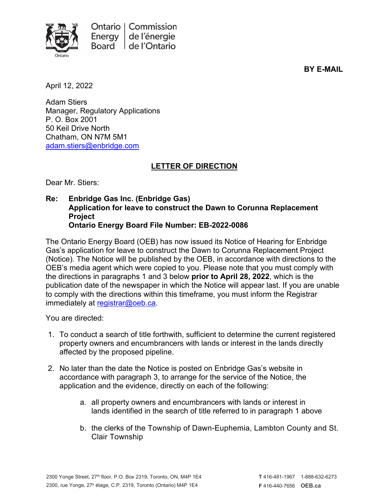

**BY E-MAIL**

April 12, 2022

Adam Stiers Manager, Regulatory Applications P. O. Box 2001 50 Keil Drive North Chatham, ON N7M 5M1 [adam.stiers@enbridge.com](mailto:adam.stiers@enbridge.com)

## **LETTER OF DIRECTION**

Dear Mr. Stiers:

**Re: Enbridge Gas Inc. (Enbridge Gas) Application for leave to construct the Dawn to Corunna Replacement Project Ontario Energy Board File Number: EB-2022-0086**

The Ontario Energy Board (OEB) has now issued its Notice of Hearing for Enbridge Gas's application for leave to construct the Dawn to Corunna Replacement Project (Notice). The Notice will be published by the OEB, in accordance with directions to the OEB's media agent which were copied to you. Please note that you must comply with the directions in paragraphs 1 and 3 below **prior to April 28, 2022**, which is the publication date of the newspaper in which the Notice will appear last. If you are unable to comply with the directions within this timeframe, you must inform the Registrar immediately at [registrar@oeb.ca.](mailto:registrar@oeb.ca)

You are directed:

- 1. To conduct a search of title forthwith, sufficient to determine the current registered property owners and encumbrancers with lands or interest in the lands directly affected by the proposed pipeline.
- 2. No later than the date the Notice is posted on Enbridge Gas's website in accordance with paragraph 3, to arrange for the service of the Notice, the application and the evidence, directly on each of the following:
	- a. all property owners and encumbrancers with lands or interest in lands identified in the search of title referred to in paragraph 1 above
	- b. the clerks of the Township of Dawn-Euphemia, Lambton County and St. Clair Township